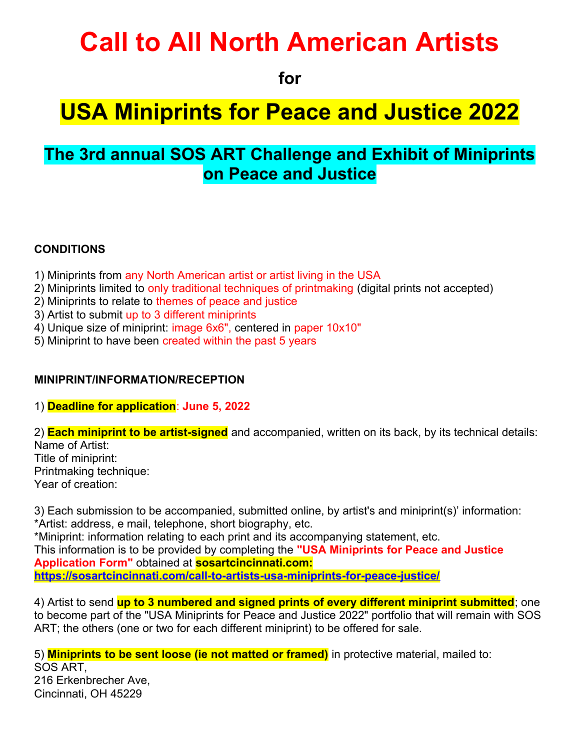# **Call to All North American Artists**

**for** 

## **USA Miniprints for Peace and Justice 2022**

### **The 3rd annual SOS ART Challenge and Exhibit of Miniprints on Peace and Justice**

#### **CONDITIONS**

- 1) Miniprints from any North American artist or artist living in the USA
- 2) Miniprints limited to only traditional techniques of printmaking (digital prints not accepted)
- 2) Miniprints to relate to themes of peace and justice
- 3) Artist to submit up to 3 different miniprints
- 4) Unique size of miniprint: image 6x6", centered in paper 10x10"
- 5) Miniprint to have been created within the past 5 years

#### **MINIPRINT/INFORMATION/RECEPTION**

- 1) **Deadline for application**: **June 5, 2022**
- 2) **Each miniprint to be artist-signed** and accompanied, written on its back, by its technical details: Name of Artist:

Title of miniprint: Printmaking technique: Year of creation:

3) Each submission to be accompanied, submitted online, by artist's and miniprint(s)' information: \*Artist: address, e mail, telephone, short biography, etc. \*Miniprint: information relating to each print and its accompanying statement, etc. This information is to be provided by completing the **"USA Miniprints for Peace and Justice Application Form"** obtained at **sosartcincinnati.com: <https://sosartcincinnati.com/call-to-artists-usa-miniprints-for-peace-justice/>**

4) Artist to send **up to 3 numbered and signed prints of every different miniprint submitted**; one to become part of the "USA Miniprints for Peace and Justice 2022" portfolio that will remain with SOS ART; the others (one or two for each different miniprint) to be offered for sale.

5) **Miniprints to be sent loose (ie not matted or framed)** in protective material, mailed to: SOS ART, 216 Erkenbrecher Ave,

Cincinnati, OH 45229